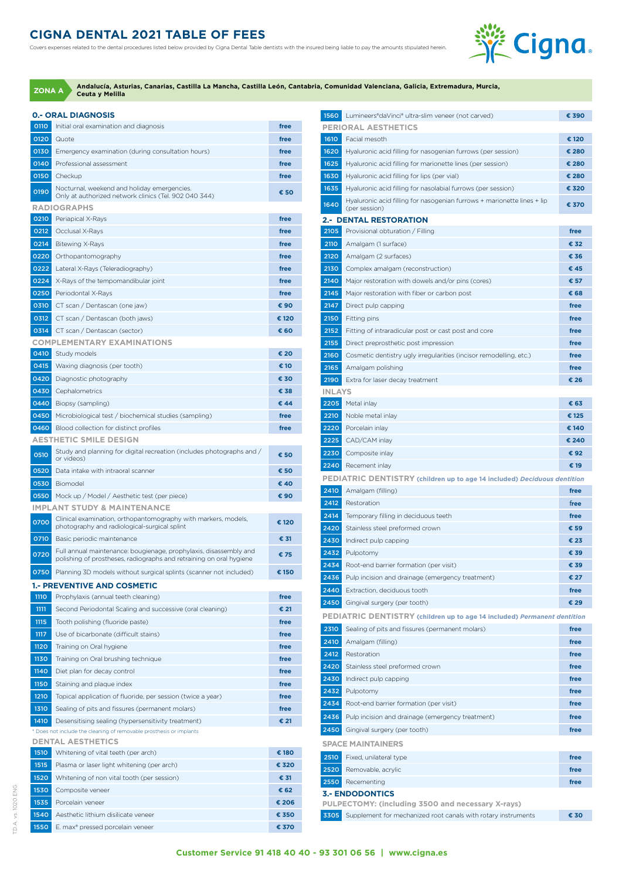## **CIGNA DENTAL 2021 TABLE OF FEES**

Covers expenses related to the dental procedures listed below provided by Cigna Dental Table dentists with the insured being liable to pay the amounts stipulated herein.



**Andalucía, Asturias, Canarias, Castilla La Mancha, Castilla León, Cantabria, Comunidad Valenciana, Galicia, Extremadura, Murcia, Ceuta y Melilla ZONA A**

|              | <b>0.- ORAL DIAGNOSIS</b>                                                                                      |              |
|--------------|----------------------------------------------------------------------------------------------------------------|--------------|
| 0110         | Initial oral examination and diagnosis                                                                         | free         |
| 0120         | Quote                                                                                                          | free         |
| 0130         | Emergency examination (during consultation hours)                                                              | free         |
| 0140         | Professional assessment                                                                                        | free         |
| 0150         | Checkup                                                                                                        | free         |
| 0190         | Nocturnal, weekend and holiday emergencies.                                                                    | € 50         |
|              | Only at authorized network clinics (Tel. 902 040 344)                                                          |              |
|              | <b>RADIOGRAPHS</b>                                                                                             |              |
| 0210         | Periapical X-Rays                                                                                              | free         |
| 0212         | Occlusal X-Rays                                                                                                | free         |
| 0214         | <b>Bitewing X-Rays</b>                                                                                         | free         |
| 0220         | Orthopantomography                                                                                             | free         |
| 0222         | Lateral X-Rays (Teleradiography)                                                                               | free         |
| 0224         | X-Rays of the tempomandibular joint                                                                            | free         |
| 0250         | Periodontal X-Rays                                                                                             | free         |
| 0310         | CT scan / Dentascan (one jaw)                                                                                  | € 90         |
| 0312         | CT scan / Dentascan (both jaws)                                                                                | € 120        |
| 0314         | CT scan / Dentascan (sector)                                                                                   | € 60         |
| 0410         | <b>COMPLEMENTARY EXAMINATIONS</b>                                                                              | € 20         |
|              | Study models                                                                                                   |              |
| 0415         | Waxing diagnosis (per tooth)                                                                                   | € 10<br>€ 30 |
| 0420<br>0430 | Diagnostic photography                                                                                         | € 38         |
|              | Cephalometrics                                                                                                 |              |
| 0440         | Biopsy (sampling)                                                                                              | € 44         |
| 0450         | Microbiological test / biochemical studies (sampling)                                                          | free         |
| 0460         | Blood collection for distinct profiles<br><b>AESTHETIC SMILE DESIGN</b>                                        | free         |
|              | Study and planning for digital recreation (includes photographs and /                                          |              |
| 0510         | or videos)                                                                                                     | € 50         |
| 0520         | Data intake with intraoral scanner                                                                             | € 50         |
| 0530         | Biomodel                                                                                                       | € 40         |
| 0550         | Mock up / Model / Aesthetic test (per piece)                                                                   | € 90         |
|              | <b>IMPLANT STUDY &amp; MAINTENANCE</b>                                                                         |              |
| 0700         | Clinical examination, orthopantomography with markers, models,<br>photography and radiological-surgical splint | € 120        |
| 0710         | Basic periodic maintenance                                                                                     | € 31         |
|              | Full annual maintenance: bougienage, prophylaxis, disassembly and                                              |              |
| 0720         | polishing of prostheses, radiographs and retraining on oral hygiene                                            | € 75         |
| 0750         | Planning 3D models without surgical splints (scanner not included)                                             | € 150        |
|              | <b>1.- PREVENTIVE AND COSMETIC</b>                                                                             |              |
| <b>1110</b>  | Prophylaxis (annual teeth cleaning)                                                                            | free         |
| 1111         | Second Periodontal Scaling and successive (oral cleaning)                                                      | € 21         |
| 1115         | Tooth polishing (fluoride paste)                                                                               | free         |
| 1117         | Use of bicarbonate (difficult stains)                                                                          | free         |
| 1120         | Training on Oral hygiene                                                                                       | free         |
| 1130         | Training on Oral brushing technique                                                                            | free         |
| 1140         | Diet plan for decay control                                                                                    | free         |
| 1150         | Staining and plaque index                                                                                      | free         |
| 1210         | Topical application of fluoride, per session (twice a year)                                                    | free         |
| 1310         | Sealing of pits and fissures (permanent molars)                                                                | free         |
| 1410         | Desensitising sealing (hypersensitivity treatment)                                                             | € 21         |
|              | * Does not include the cleaning of removable prosthesis or implants                                            |              |
|              | <b>DENTAL AESTHETICS</b>                                                                                       |              |
| 1510         | Whitening of vital teeth (per arch)                                                                            | € 180        |
| 1515         | Plasma or laser light whitening (per arch)                                                                     | € 320        |
| 1520         | Whitening of non vital tooth (per session)                                                                     | € 31         |
| 1530         | Composite veneer                                                                                               | € 62         |
| 1535         | Porcelain veneer                                                                                               | € 206        |
| 1540         | Aesthetic lithium disilicate veneer                                                                            | € 350        |
| 1550         | E. max® pressed porcelain veneer                                                                               | € 370        |

| 1560          | Lumineers®daVinci® ultra-slim veneer (not carved)                               | € 390        |
|---------------|---------------------------------------------------------------------------------|--------------|
|               | <b>PERIORAL AESTHETICS</b>                                                      |              |
| 1610          | Facial mesoth                                                                   | € 120        |
| 1620          | Hyaluronic acid filling for nasogenian furrows (per session)                    | € 280        |
| 1625          | Hyaluronic acid filling for marionette lines (per session)                      | € 280        |
| 1630          | Hyaluronic acid filling for lips (per vial)                                     | € 280        |
| 1635          | Hyaluronic acid filling for nasolabial furrows (per session)                    | € 320        |
| 1640          | Hyaluronic acid filling for nasogenian furrows + marionette lines + lip         | € 370        |
|               | (per session)<br><b>2.- DENTAL RESTORATION</b>                                  |              |
| 2105          | Provisional obturation / Filling                                                | free         |
| 2110          | Amalgam (1 surface)                                                             | € 32         |
| 2120          | Amalgam (2 surfaces)                                                            | € 36         |
| 2130          | Complex amalgam (reconstruction)                                                | € 45         |
| 2140          | Major restoration with dowels and/or pins (cores)                               | € 57         |
| 2145          | Major restoration with fiber or carbon post                                     | € 68         |
| 2147          | Direct pulp capping                                                             | free         |
| 2150          | Fitting pins                                                                    | free         |
| 2152          | Fitting of intraradicular post or cast post and core                            | free         |
| 2155          | Direct preprosthetic post impression                                            | free         |
| 2160          | Cosmetic dentistry ugly irregularities (incisor remodelling, etc.)              | free         |
| 2165          | Amalgam polishing                                                               | free         |
| 2190          | Extra for laser decay treatment                                                 | € 26         |
| <b>INLAYS</b> |                                                                                 |              |
| 2205          | Metal inlay                                                                     | € 63         |
| 2210          | Noble metal inlay                                                               | € 125        |
| 2220          | Porcelain inlay                                                                 | € 140        |
| 2225          | CAD/CAM inlay                                                                   | € 240        |
| 2230          | Composite inlay                                                                 | € 92         |
| 2240          | Recement inlay                                                                  | € 19         |
|               | <b>PEDIATRIC DENTISTRY</b> (children up to age 14 included) Deciduous dentition |              |
| 2410          | Amalgam (filling)                                                               | free         |
| 2412          | Restoration                                                                     | free         |
| 2414          | Temporary filling in deciduous teeth                                            | free         |
| 2420          | Stainless steel preformed crown                                                 | € 59         |
| 2430          | Indirect pulp capping                                                           | € 23         |
| 2432          | Pulpotomy                                                                       | € 39         |
| 2434          | Root-end barrier formation (per visit)                                          | € 39         |
| 2436          | Pulp incision and drainage (emergency treatment)                                | € 27         |
| 2440          | Extraction, deciduous tooth                                                     | free         |
| 2450          | Gingival surgery (per tooth)                                                    | € 29         |
|               | <b>PEDIATRIC DENTISTRY</b> (children up to age 14 included) Permanent dentition |              |
| 2310<br>2410  | Sealing of pits and fissures (permanent molars)<br>Amalgam (filling)            | free<br>free |
| 2412          | Restoration                                                                     | free         |
| 2420          | Stainless steel preformed crown                                                 | free         |
| 2430          | Indirect pulp capping                                                           | free         |
| 2432          | Pulpotomy                                                                       | free         |
| 2434          | Root-end barrier formation (per visit)                                          | free         |
| 2436          | Pulp incision and drainage (emergency treatment)                                | free         |
| 2450          | Gingival surgery (per tooth)                                                    | free         |
|               | <b>SPACE MAINTAINERS</b>                                                        |              |
| 2510          | Fixed, unilateral type                                                          | free         |
| 2520          | Removable, acrylic                                                              | free         |
| 2550          | Recementing                                                                     | free         |
|               | <b>3.- ENDODONTICS</b>                                                          |              |
|               | PULPECTOMY: (including 3500 and necessary X-rays)                               |              |
| 3305          | Supplement for mechanized root canals with rotary instruments                   | € 30         |
|               |                                                                                 |              |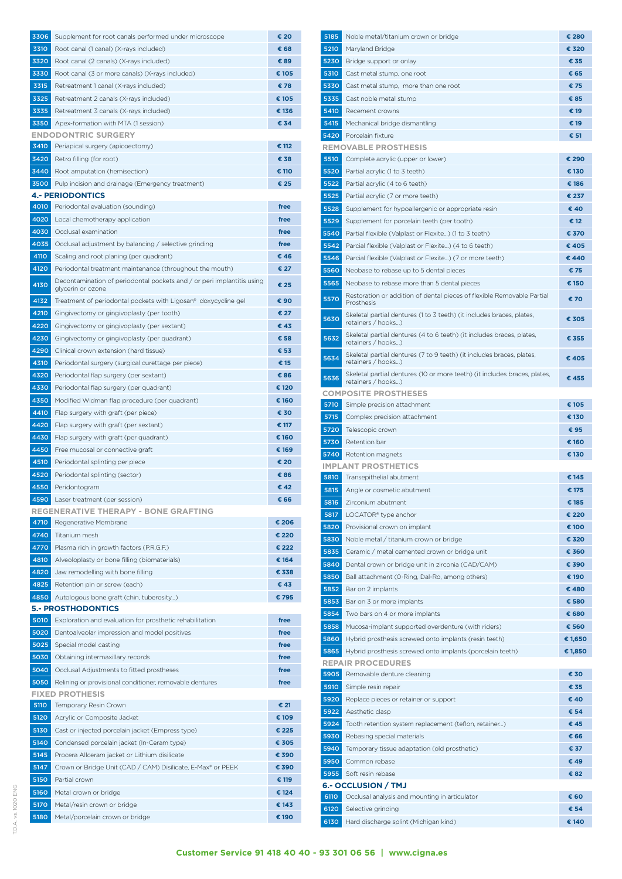| 3306         | Supplement for root canals performed under microscope                                                    | € 20          |
|--------------|----------------------------------------------------------------------------------------------------------|---------------|
| 3310         | Root canal (1 canal) (X-rays included)                                                                   | € 68          |
| 3320         | Root canal (2 canals) (X-rays included)                                                                  | € 89          |
| 3330         | Root canal (3 or more canals) (X-rays included)                                                          | € 105         |
| 3315         | Retreatment 1 canal (X-rays included)                                                                    | €78           |
| 3325         | Retreatment 2 canals (X-rays included)                                                                   | € 105         |
| 3335         | Retreatment 3 canals (X-rays included)                                                                   | € 136         |
| 3350         | Apex-formation with MTA (1 session)                                                                      | € 34          |
|              | <b>ENDODONTRIC SURGERY</b>                                                                               |               |
| 3410         | Periapical surgery (apicoectomy)                                                                         | € 112         |
| 3420         | Retro filling (for root)                                                                                 | € 38          |
| 3440<br>3500 | Root amputation (hemisection)<br>Pulp incision and drainage (Emergency treatment)                        | € 110<br>€ 25 |
|              | <b>4.- PERIODONTICS</b>                                                                                  |               |
| 4010         | Periodontal evaluation (sounding)                                                                        | free          |
| 4020         | Local chemotherapy application                                                                           | free          |
| 4030         | Occlusal examination                                                                                     | free          |
| 4035         | Occlusal adjustment by balancing / selective grinding                                                    | free          |
| 4110         | Scaling and root planing (per quadrant)                                                                  | € 46          |
| 4120         | Periodontal treatment maintenance (throughout the mouth)                                                 | € 27          |
| 4130         | Decontamination of periodontal pockets and / or peri implantitis using                                   | € 25          |
|              | glycerin or ozone                                                                                        |               |
| 4132         | Treatment of periodontal pockets with Ligosan® doxycycline gel                                           | € 90          |
| 4210         | Gingivectomy or gingivoplasty (per tooth)                                                                | € 27          |
| 4220         | Gingivectomy or gingivoplasty (per sextant)                                                              | € 43          |
| 4230         | Gingivectomy or gingivoplasty (per quadrant)                                                             | € 58          |
| 4290         | Clinical crown extension (hard tissue)                                                                   | € 53          |
| 4310<br>4320 | Periodontal surgery (surgical curettage per piece)                                                       | € 15<br>€86   |
| 4330         | Periodontal flap surgery (per sextant)<br>Periodontal flap surgery (per quadrant)                        | € 120         |
| 4350         | Modified Widman flap procedure (per quadrant)                                                            | € 160         |
| 4410         | Flap surgery with graft (per piece)                                                                      | € 30          |
| 4420         | Flap surgery with graft (per sextant)                                                                    | € 117         |
| 4430         | Flap surgery with graft (per quadrant)                                                                   | € 160         |
| 4450         | Free mucosal or connective graft                                                                         | € 169         |
| 4510         | Periodontal splinting per piece                                                                          | € 20          |
| 4520         | Periodontal splinting (sector)                                                                           | €86           |
| 4550         | Peridontogram                                                                                            | € 42          |
| 4590         | Laser treatment (per session)                                                                            | € 66          |
|              | <b>REGENERATIVE THERAPY - BONE GRAFTING</b>                                                              |               |
| 4710         | Regenerative Membrane                                                                                    | € 206         |
| 4740         | Titanium mesh                                                                                            | € 220         |
| 4770         | Plasma rich in growth factors (P.R.G.F.)                                                                 | € 222         |
| 4810         | Alveoloplasty or bone filling (biomaterials)                                                             | € 164         |
| 4820         | Jaw remodelling with bone filling                                                                        | € 338         |
| 4825         | Retention pin or screw (each)                                                                            | € 43          |
| 4850         | Autologous bone graft (chin, tuberosity)                                                                 | € 795         |
|              | <b>5.- PROSTHODONTICS</b>                                                                                | free          |
| 5010<br>5020 | Exploration and evaluation for prosthetic rehabilitation<br>Dentoalveolar impression and model positives | free          |
| 5025         | Special model casting                                                                                    | free          |
| 5030         | Obtaining intermaxillary records                                                                         | free          |
| 5040         | Occlusal Adjustments to fitted prostheses                                                                | free          |
| 5050         | Relining or provisional conditioner, removable dentures                                                  | free          |
|              | <b>FIXED PROTHESIS</b>                                                                                   |               |
| 5110         | Temporary Resin Crown                                                                                    | € 21          |
| 5120         | Acrylic or Composite Jacket                                                                              | € 109         |
| 5130         | Cast or injected porcelain jacket (Empress type)                                                         | € 225         |
| 5140         | Condensed porcelain jacket (In-Ceram type)                                                               | € 305         |
| 5145         | Procera Allceram jacket or Lithium disilicate                                                            | € 390         |
| 5147         | Crown or Bridge Unit (CAD / CAM) Disilicate, E-Max® or PEEK                                              | € 390         |
| 5150         | Partial crown                                                                                            | € 119         |
| 5160         | Metal crown or bridge                                                                                    | € 124         |
| 5170         | Metal/resin crown or bridge                                                                              | € 143         |
| 5180         | Metal/porcelain crown or bridge                                                                          | € 190         |

| 5185         | Noble metal/titanium crown or bridge                                                            | € 280          |
|--------------|-------------------------------------------------------------------------------------------------|----------------|
| 5210         | Maryland Bridge                                                                                 | € 320          |
| 5230         | Bridge support or onlay                                                                         | € 35           |
| 5310         | Cast metal stump, one root                                                                      | € 65           |
| 5330         | Cast metal stump, more than one root                                                            | € 75           |
| 5335         | Cast noble metal stump                                                                          | €85            |
| 5410         | Recement crowns                                                                                 | € 19           |
| 5415         | Mechanical bridge dismantling                                                                   | € 19           |
| 5420         | Porcelain fixture                                                                               | € 51           |
|              | <b>REMOVABLE PROSTHESIS</b>                                                                     |                |
| 5510<br>5520 | Complete acrylic (upper or lower)<br>Partial acrylic (1 to 3 teeth)                             | € 290<br>€ 130 |
| 5522         | Partial acrylic (4 to 6 teeth)                                                                  | € 186          |
| 5525         | Partial acrylic (7 or more teeth)                                                               | € 237          |
| 5528         | Supplement for hypoallergenic or appropriate resin                                              | € 40           |
| 5529         | Supplement for porcelain teeth (per tooth)                                                      | € 12           |
| 5540         | Partial flexible (Valplast or Flexite) (1 to 3 teeth)                                           | € 370          |
| 5542         | Parcial flexible (Valplast or Flexite) (4 to 6 teeth)                                           | € 405          |
| 5546         | Parcial flexible (Valplast or Flexite) (7 or more teeth)                                        | € 440          |
| 5560         | Neobase to rebase up to 5 dental pieces                                                         | € 75           |
| 5565         | Neobase to rebase more than 5 dental pieces                                                     | € 150          |
| 5570         | Restoration or addition of dental pieces of flexible Removable Partial                          | € 70           |
|              | Prosthesis                                                                                      |                |
| 5630         | Skeletal partial dentures (1 to 3 teeth) (it includes braces, plates,<br>retainers / hooks)     | € 305          |
| 5632         | Skeletal partial dentures (4 to 6 teeth) (it includes braces, plates,<br>retainers / hooks)     | € 355          |
| 5634         | Skeletal partial dentures (7 to 9 teeth) (it includes braces, plates,<br>retainers / hooks)     | €405           |
| 5636         | Skeletal partial dentures (10 or more teeth) (it includes braces, plates,<br>retainers / hooks) | € 455          |
|              | <b>COMPOSITE PROSTHESES</b>                                                                     |                |
| 5710         | Simple precision attachment                                                                     | € 105          |
| 5715         | Complex precision attachment                                                                    | € 130          |
| 5720<br>5730 | Telescopic crown<br>Retention bar                                                               | € 95<br>€ 160  |
| 5740         | Retention magnets                                                                               | € 130          |
|              | <b>IMPLANT PROSTHETICS</b>                                                                      |                |
| 5810         | Transepithelial abutment                                                                        | € 145          |
| 5815         | Angle or cosmetic abutment                                                                      | € 175          |
| 5816         | Zirconium abutment                                                                              | € 185          |
| 5817         | LOCATOR <sup>®</sup> type anchor                                                                | € 220          |
| 5820         | Provisional crown on implant                                                                    | € 100          |
| 5830         | Noble metal / titanium crown or bridge                                                          | € 320          |
| 5835         | Ceramic / metal cemented crown or bridge unit                                                   | € 360          |
| 5840         | Dental crown or bridge unit in zirconia (CAD/CAM)                                               | € 390          |
| 5850         | Ball attachment (0-Ring, Dal-Ro, among others)                                                  | € 190          |
| 5852         | Bar on 2 implants                                                                               | €480           |
| 5853         | Bar on 3 or more implants                                                                       | € 580          |
| 5854         | Two bars on 4 or more implants                                                                  | € 680          |
| 5858         | Mucosa-implant supported overdenture (with riders)                                              | € 560          |
| 5860         | Hybrid prosthesis screwed onto implants (resin teeth)                                           | € 1,650        |
| 5865         | Hybrid prosthesis screwed onto implants (porcelain teeth)<br><b>REPAIR PROCEDURES</b>           | € 1,850        |
| 5905         | Removable denture cleaning                                                                      | € 30           |
| 5910         | Simple resin repair                                                                             | € 35           |
| 5920         | Replace pieces or retainer or support                                                           | € 40           |
| 5922         | Aesthetic clasp                                                                                 | € 54           |
| 5924         | Tooth retention system replacement (teflon, retainer)                                           | € 45           |
| 5930         | Rebasing special materials                                                                      | € 66           |
| 5940         | Temporary tissue adaptation (old prosthetic)                                                    | € 37           |
| 5950         | Common rebase                                                                                   | € 49           |
| 5955         | Soft resin rebase                                                                               | €82            |
|              | <b>6.- OCCLUSION / TMJ</b>                                                                      |                |
| 6110         | Occlusal analysis and mounting in articulator                                                   | € 60           |
| 6120         | Selective grinding                                                                              | € 54           |
| 6130         | Hard discharge splint (Michigan kind)                                                           | € 140          |